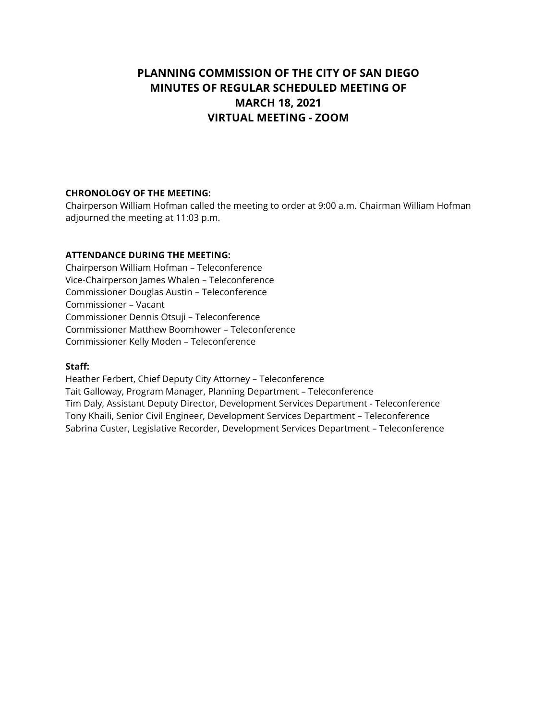# **PLANNING COMMISSION OF THE CITY OF SAN DIEGO MINUTES OF REGULAR SCHEDULED MEETING OF MARCH 18, 2021 VIRTUAL MEETING - ZOOM**

## **CHRONOLOGY OF THE MEETING:**

Chairperson William Hofman called the meeting to order at 9:00 a.m. Chairman William Hofman adjourned the meeting at 11:03 p.m.

## **ATTENDANCE DURING THE MEETING:**

Chairperson William Hofman – Teleconference Vice-Chairperson James Whalen – Teleconference Commissioner Douglas Austin – Teleconference Commissioner – Vacant Commissioner Dennis Otsuji – Teleconference Commissioner Matthew Boomhower – Teleconference Commissioner Kelly Moden – Teleconference

#### **Staff:**

Heather Ferbert, Chief Deputy City Attorney – Teleconference Tait Galloway, Program Manager, Planning Department – Teleconference Tim Daly, Assistant Deputy Director, Development Services Department - Teleconference Tony Khaili, Senior Civil Engineer, Development Services Department – Teleconference Sabrina Custer, Legislative Recorder, Development Services Department – Teleconference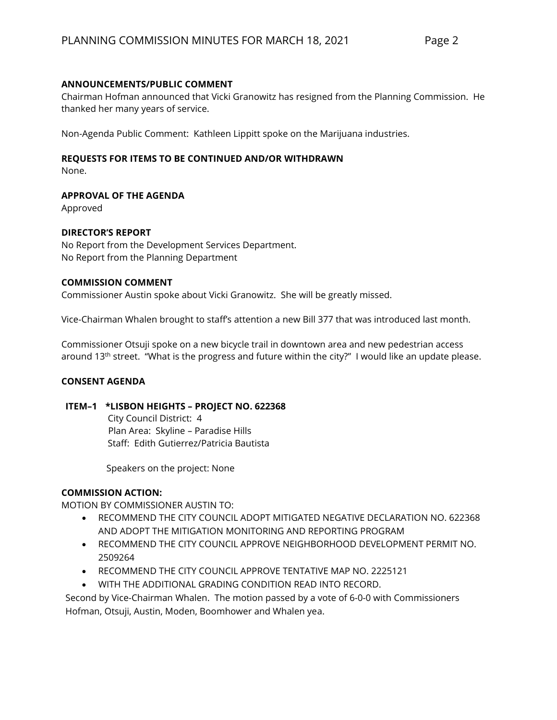## **ANNOUNCEMENTS/PUBLIC COMMENT**

Chairman Hofman announced that Vicki Granowitz has resigned from the Planning Commission. He thanked her many years of service.

Non-Agenda Public Comment: Kathleen Lippitt spoke on the Marijuana industries.

# **REQUESTS FOR ITEMS TO BE CONTINUED AND/OR WITHDRAWN**

None.

# **APPROVAL OF THE AGENDA**

Approved

# **DIRECTOR'S REPORT**

No Report from the Development Services Department. No Report from the Planning Department

#### **COMMISSION COMMENT**

Commissioner Austin spoke about Vicki Granowitz. She will be greatly missed.

Vice-Chairman Whalen brought to staff's attention a new Bill 377 that was introduced last month.

Commissioner Otsuji spoke on a new bicycle trail in downtown area and new pedestrian access around 13<sup>th</sup> street. "What is the progress and future within the city?" I would like an update please.

#### **CONSENT AGENDA**

#### **ITEM–1 \*LISBON HEIGHTS – PROJECT NO. 622368**

 City Council District: 4 Plan Area: Skyline – Paradise Hills Staff: Edith Gutierrez/Patricia Bautista

Speakers on the project: None

# **COMMISSION ACTION:**

MOTION BY COMMISSIONER AUSTIN TO:

- RECOMMEND THE CITY COUNCIL ADOPT MITIGATED NEGATIVE DECLARATION NO. 622368 AND ADOPT THE MITIGATION MONITORING AND REPORTING PROGRAM
- RECOMMEND THE CITY COUNCIL APPROVE NEIGHBORHOOD DEVELOPMENT PERMIT NO. 2509264
- RECOMMEND THE CITY COUNCIL APPROVE TENTATIVE MAP NO. 2225121
- WITH THE ADDITIONAL GRADING CONDITION READ INTO RECORD.

Second by Vice-Chairman Whalen. The motion passed by a vote of 6-0-0 with Commissioners Hofman, Otsuji, Austin, Moden, Boomhower and Whalen yea.